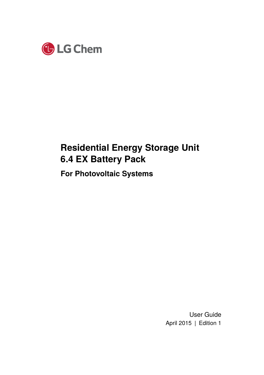

# **Residential Energy Storage Unit 6.4 EX Battery Pack**

**For Photovoltaic Systems**

User Guide April 2015 | Edition 1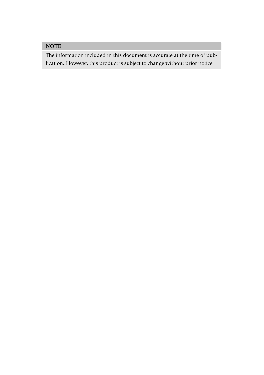## **NOTE**

The information included in this document is accurate at the time of publication. However, this product is subject to change without prior notice.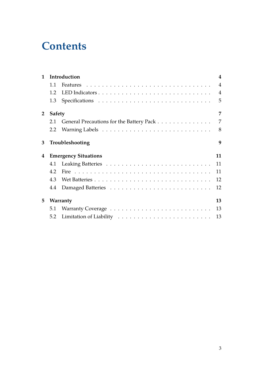# **Contents**

| $\mathbf{1}$   | Introduction       |                                          |                |  |  |
|----------------|--------------------|------------------------------------------|----------------|--|--|
|                | 1.1                |                                          | $\overline{4}$ |  |  |
|                | 12                 |                                          | $\overline{4}$ |  |  |
|                | 1.3                |                                          | 5              |  |  |
| $\overline{2}$ | 7<br><b>Safety</b> |                                          |                |  |  |
|                | 2.1                | General Precautions for the Battery Pack | 7              |  |  |
|                | 2.2                |                                          | 8              |  |  |
| 3              |                    | Troubleshooting                          | 9              |  |  |
|                |                    |                                          |                |  |  |
| 4              |                    | <b>Emergency Situations</b>              | 11             |  |  |
|                | 4.1                |                                          | 11             |  |  |
|                | 4.2                |                                          | 11             |  |  |
|                | 4.3                |                                          | 12             |  |  |
|                | 4.4                |                                          | 12             |  |  |
| 5              |                    | Warranty                                 | 13             |  |  |
|                | 5.1                |                                          | 13             |  |  |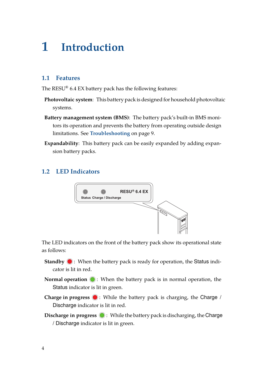# <span id="page-3-0"></span>**1 Introduction**

### <span id="page-3-1"></span>**1.1 Features**

The RESU® 6.4 EX battery pack has the following features:

- **Photovoltaic system**: This battery pack is designed for household photovoltaic systems.
- **Battery management system (BMS)**: The battery pack's built-in BMS monitors its operation and prevents the battery from operating outside design limitations. See **[Troubleshooting](#page-8-0)** on page [9.](#page-8-0)
- **Expandability**: This battery pack can be easily expanded by adding expansion battery packs.

### <span id="page-3-2"></span>**1.2 LED Indicators**



The LED indicators on the front of the battery pack show its operational state as follows:

- **Standby**  $\bigcirc$ **:** When the battery pack is ready for operation, the Status indicator is lit in red.
- **Normal operation**  $\bigcirc$ : When the battery pack is in normal operation, the Status indicator is lit in green.
- **Charge in progress**  $\bullet$ : While the battery pack is charging, the Charge / Discharge indicator is lit in red.
- **Discharge in progress**  $\bigcirc$ : While the battery pack is discharging, the Charge / Discharge indicator is lit in green.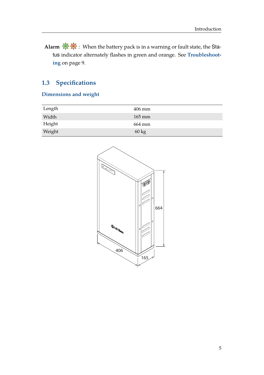**Alarm**  $\mathbb{Q}$  : When the battery pack is in a warning or fault state, the Status indicator alternately flashes in green and orange. See **[Troubleshoot](#page-8-0)[ing](#page-8-0)** on page [9](#page-8-0).

## <span id="page-4-0"></span>**1.3 Specifications**

### **Dimensions and weight**

| Length | $406$ mm         |
|--------|------------------|
| Width  | $165 \text{ mm}$ |
| Height | 664 mm           |
| Weight | $60 \text{ kg}$  |

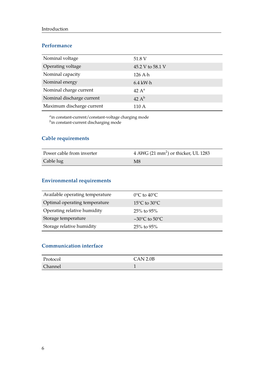#### **Performance**

| Nominal voltage           | 51.8 V                  |
|---------------------------|-------------------------|
| Operating voltage         | 45.2 V to 58.1 V        |
| Nominal capacity          | $126$ A $\cdot$ h       |
| Nominal energy            | $6.4$ kW $\cdot$ h      |
| Nominal charge current    | 42 $A^a$                |
| Nominal discharge current | 42 $\mathbf{A}^{\rm b}$ |
| Maximum discharge current | 110 A                   |

*a* in constant-current/constant-voltage charging mode *b* in constant-current discharging mode

#### **Cable requirements**

| Power cable from inverter | 4 AWG (21 mm <sup>2</sup> ) or thicker, UL 1283 |
|---------------------------|-------------------------------------------------|
| Cable lug                 | M8                                              |

#### **Environmental requirements**

| Available operating temperature | $0^{\circ}$ C to $40^{\circ}$ C    |
|---------------------------------|------------------------------------|
| Optimal operating temperature   | $15^{\circ}$ C to 30 $^{\circ}$ C  |
| Operating relative humidity     | $25\%$ to 95%                      |
| Storage temperature             | $-30^{\circ}$ C to 50 $^{\circ}$ C |
| Storage relative humidity       | 25% to 95%                         |

### **Communication interface**

| Protocol | CAN 2.0B |
|----------|----------|
| Channel  |          |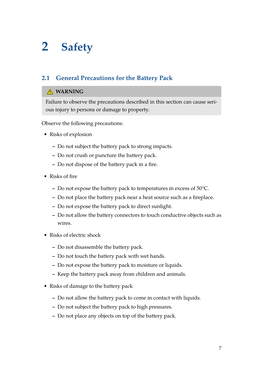# <span id="page-6-0"></span>**2 Safety**

## <span id="page-6-1"></span>**2.1 General Precautions for the Battery Pack**

#### **WARNING**

Failure to observe the precautions described in this section can cause serious injury to persons or damage to property.

Observe the following precautions:

- Risks of explosion
	- **–** Do not subject the battery pack to strong impacts.
	- **–** Do not crush or puncture the battery pack.
	- **–** Do not dispose of the battery pack in a fire.
- Risks of fire
	- **–** Do not expose the battery pack to temperatures in excess of 50°C.
	- **–** Do not place the battery pack near a heat source such as a fireplace.
	- **–** Do not expose the battery pack to direct sunlight.
	- **–** Do not allow the battery connectors to touch conductive objects such as wires.
- Risks of electric shock
	- **–** Do not disassemble the battery pack.
	- **–** Do not touch the battery pack with wet hands.
	- **–** Do not expose the battery pack to moisture or liquids.
	- **–** Keep the battery pack away from children and animals.
- Risks of damage to the battery pack
	- **–** Do not allow the battery pack to come in contact with liquids.
	- **–** Do not subject the battery pack to high pressures.
	- **–** Do not place any objects on top of the battery pack.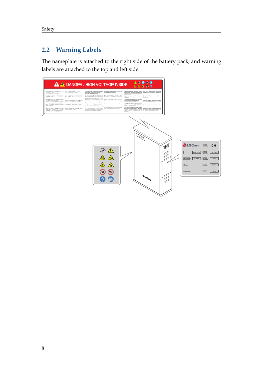## <span id="page-7-0"></span>**2.2 Warning Labels**

The nameplate is attached to the right side of the battery pack, and warning labels are attached to the top and left side.

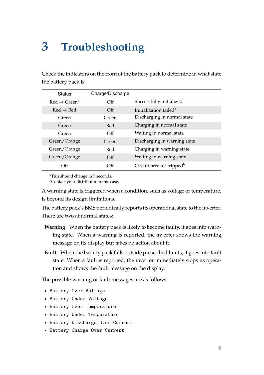# <span id="page-8-0"></span>**3 Troubleshooting**

Check the indicators on the front of the battery pack to determine in what state the battery pack is.

| <b>Status</b>             | Charge/Discharge |                                      |
|---------------------------|------------------|--------------------------------------|
| $Red \rightarrow Green^a$ | $\Omega$         | Successfully initialized             |
| $Red \rightarrow Red$     | $\Omega$         | Initialization failed <sup>b</sup>   |
| Green                     | Green            | Discharging in normal state          |
| Green                     | Red              | Charging in normal state             |
| Green                     | $\Omega$         | Waiting in normal state              |
| Green/Orange              | Green            | Discharging in warning state         |
| Green/Orange              | Red              | Charging in warning state            |
| Green/Orange              | $\Omega$         | Waiting in warning state             |
| Off                       | Off              | Circuit breaker tripped <sup>b</sup> |

*<sup>a</sup>*This should change in 7 seconds.

*b*Contact your distributor in this case.

A warning state is triggered when a condition, such as voltage or temperature, is beyond its design limitations.

The battery pack's BMS periodically reports its operational state to the inverter. There are two abnormal states:

- **Warning**: When the battery pack is likely to become faulty, it goes into warning state. When a warning is reported, the inverter shows the warning message on its display but takes no action about it.
- **Fault**: When the battery pack falls outside prescribed limits, it goes into fault state. When a fault is reported, the inverter immediately stops its operation and shows the fault message on the display.

The possible warning or fault messages are as follows:

- Battery Over Voltage
- Battery Under Voltage
- Battery Over Temperature
- Battery Under Temperature
- Battery Discharge Over Current
- Battery Charge Over Current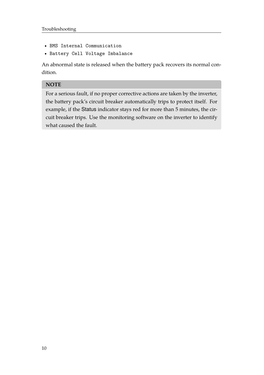- BMS Internal Communication
- Battery Cell Voltage Imbalance

An abnormal state is released when the battery pack recovers its normal condition.

#### **NOTE**

For a serious fault, if no proper corrective actions are taken by the inverter, the battery pack's circuit breaker automatically trips to protect itself. For example, if the Status indicator stays red for more than 5 minutes, the circuit breaker trips. Use the monitoring software on the inverter to identify what caused the fault.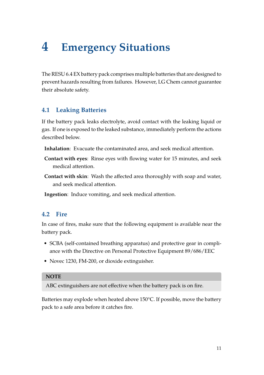# <span id="page-10-0"></span>**4 Emergency Situations**

The RESU 6.4 EX battery pack comprises multiple batteries that are designed to prevent hazards resulting from failures. However, LG Chem cannot guarantee their absolute safety.

### <span id="page-10-1"></span>**4.1 Leaking Batteries**

If the battery pack leaks electrolyte, avoid contact with the leaking liquid or gas. If one is exposed to the leaked substance, immediately perform the actions described below.

- **Inhalation**: Evacuate the contaminated area, and seek medical attention.
- **Contact with eyes**: Rinse eyes with flowing water for 15 minutes, and seek medical attention.
- **Contact with skin**: Wash the affected area thoroughly with soap and water, and seek medical attention.

**Ingestion**: Induce vomiting, and seek medical attention.

### <span id="page-10-2"></span>**4.2 Fire**

In case of fires, make sure that the following equipment is available near the battery pack.

- SCBA (self-contained breathing apparatus) and protective gear in compliance with the Directive on Personal Protective Equipment 89/686/EEC
- Novec 1230, FM-200, or dioxide extinguisher.

#### **NOTE**

ABC extinguishers are not effective when the battery pack is on fire.

Batteries may explode when heated above 150°C. If possible, move the battery pack to a safe area before it catches fire.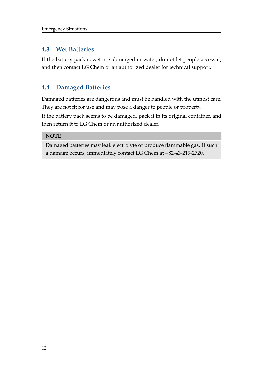### <span id="page-11-0"></span>**4.3 Wet Batteries**

If the battery pack is wet or submerged in water, do not let people access it, and then contact LG Chem or an authorized dealer for technical support.

## <span id="page-11-1"></span>**4.4 Damaged Batteries**

Damaged batteries are dangerous and must be handled with the utmost care. They are not fit for use and may pose a danger to people or property.

If the battery pack seems to be damaged, pack it in its original container, and then return it to LG Chem or an authorized dealer.

#### **NOTE**

Damaged batteries may leak electrolyte or produce flammable gas. If such a damage occurs, immediately contact LG Chem at +82-43-219-2720.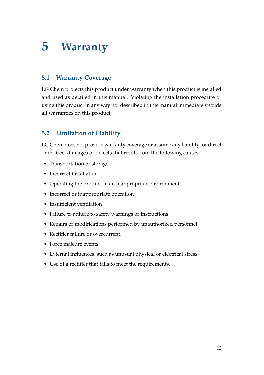# <span id="page-12-0"></span>**5 Warranty**

## <span id="page-12-1"></span>**5.1 Warranty Coverage**

LG Chem protects this product under warranty when this product is installed and used as detailed in this manual. Violating the installation procedure or using this product in any way not described in this manual immediately voids all warranties on this product.

# <span id="page-12-2"></span>**5.2 Limitation of Liability**

LG Chem does not provide warranty coverage or assume any liability for direct or indirect damages or defects that result from the following causes:

- Transportation or storage
- Incorrect installation
- Operating the product in an inappropriate environment
- Incorrect or inappropriate operation
- Insufficient ventilation
- Failure to adhere to safety warnings or instructions
- Repairs or modifications performed by unauthorized personnel
- Rectifier failure or overcurrent.
- Force majeure events
- External influences, such as unusual physical or electrical stress.
- Use of a rectifier that fails to meet the requirements.